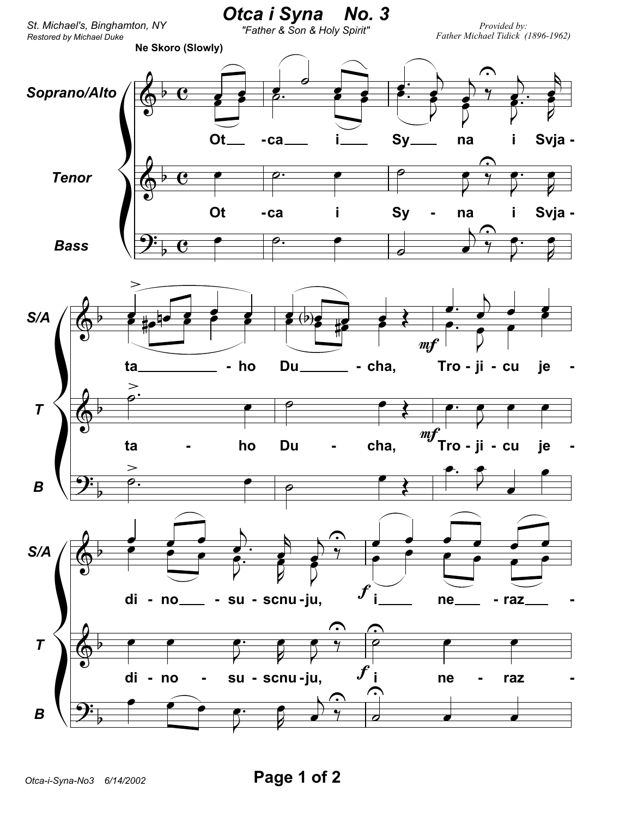